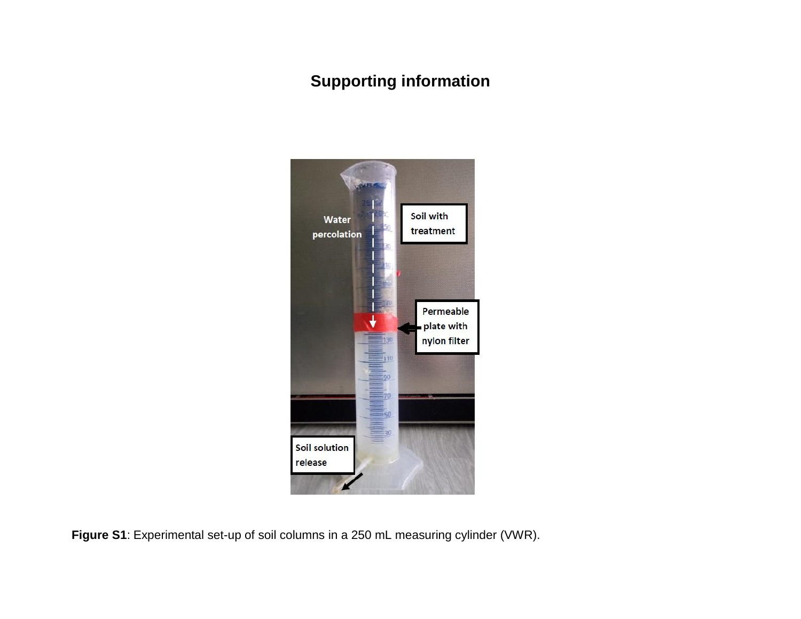## **Supporting information**



**Figure S1**: Experimental set-up of soil columns in a 250 mL measuring cylinder (VWR).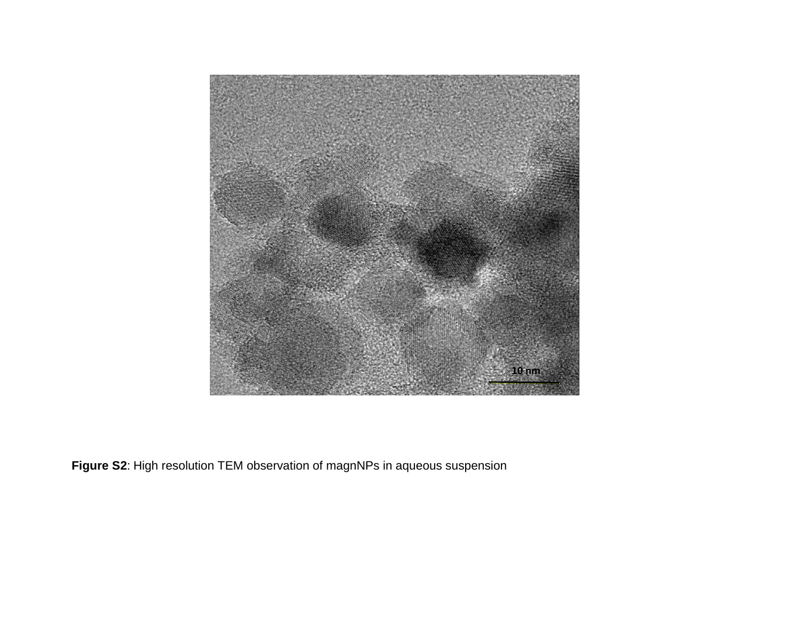

**Figure S2**: High resolution TEM observation of magnNPs in aqueous suspension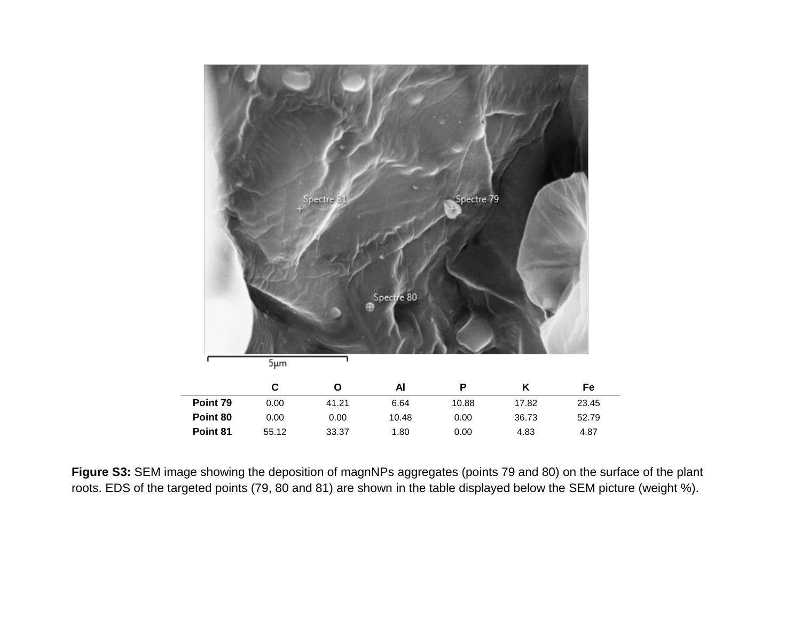

**Figure S3:** SEM image showing the deposition of magnNPs aggregates (points 79 and 80) on the surface of the plant roots. EDS of the targeted points (79, 80 and 81) are shown in the table displayed below the SEM picture (weight %).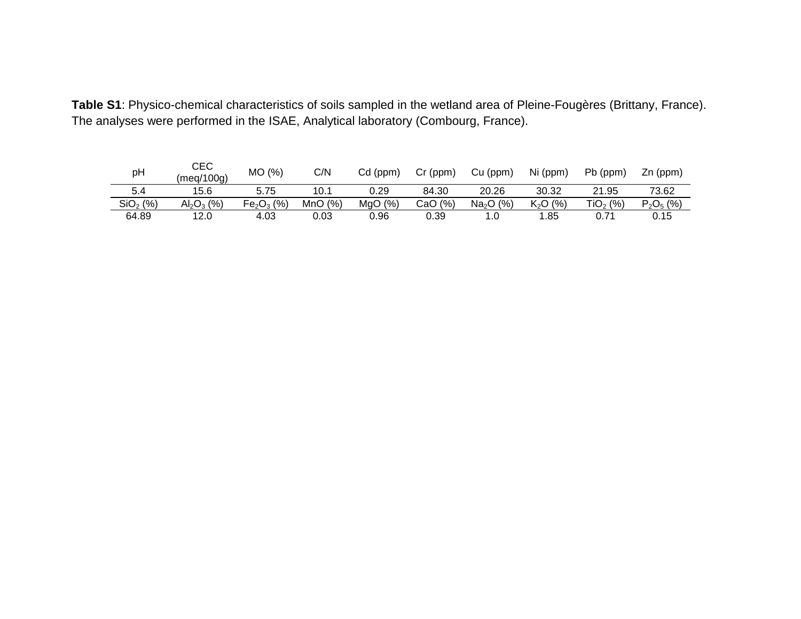| Table S1: Physico-chemical characteristics of soils sampled in the wetland area of Pleine-Fougères (Brittany, France). |  |
|------------------------------------------------------------------------------------------------------------------------|--|
| The analyses were performed in the ISAE, Analytical laboratory (Combourg, France).                                     |  |

| pH                   | CEC<br>(meq/100q) | (% )<br>МO  | C/N    | $Cd$ (ppm) | $Cr$ (ppm) | Cu (ppm)              | Ni (ppm)             | Pb (ppm)   | $Zn$ (ppm)  |
|----------------------|-------------------|-------------|--------|------------|------------|-----------------------|----------------------|------------|-------------|
| 5.4                  | 15.6              | 5.75        | 10.1   | 0.29       | 84.30      | 20.26                 | 30.32                | 21.95      | 73.62       |
| SiO <sub>2</sub> (%) | $Al_2O_3$ (%)     | $Fe2O3$ (%) | MnO(%) | MqO(%      | CaO (%)    | Na <sub>2</sub> O (%) | K <sub>2</sub> O (%) | $TiO2$ (%) | $P_2O_5(%)$ |
| 64.89                | 12.0              | 4.03        | 0.03   | 0.96       | 0.39       | 0. ا                  | 1.85                 | 0.71       | 0.15        |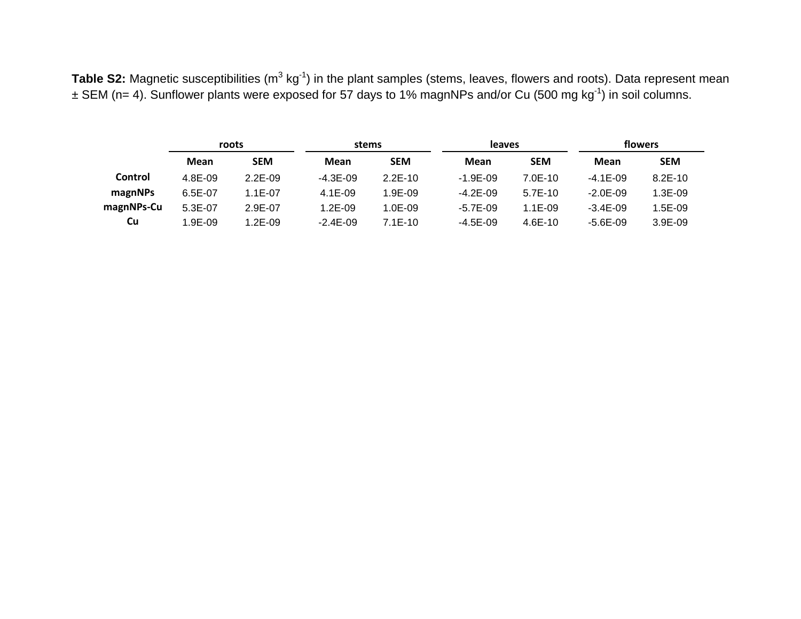**Table S2:** Magnetic susceptibilities (m<sup>3</sup> kg<sup>-1</sup>) in the plant samples (stems, leaves, flowers and roots). Data represent mean  $\pm$  SEM (n= 4). Sunflower plants were exposed for 57 days to 1% magnNPs and/or Cu (500 mg kg<sup>-1</sup>) in soil columns.

|                | roots     |             | stems        |            | leaves       |            | flowers      |            |  |
|----------------|-----------|-------------|--------------|------------|--------------|------------|--------------|------------|--|
|                | Mean      | <b>SEM</b>  | Mean         | <b>SEM</b> | Mean         | <b>SEM</b> | Mean         | <b>SEM</b> |  |
| <b>Control</b> | 4.8E-09   | $2.2E-0.9$  | $-4.3E - 09$ | $2.2E-10$  | $-1.9E - 09$ | $7.0E-10$  | $-4.1E - 09$ | $8.2E-10$  |  |
| magnNPs        | $6.5E-07$ | $1.1E - 07$ | $4.1E-09$    | $1.9E-0.9$ | $-4.2E - 09$ | $5.7E-10$  | $-2.0E - 09$ | 1.3E-09    |  |
| magnNPs-Cu     | $5.3E-07$ | 2.9E-07     | $1.2E-0.9$   | $1.0E-09$  | $-5.7E-09$   | $1.1E-09$  | $-3.4E - 09$ | 1.5E-09    |  |
| Cu             | 1.9E-09   | $1.2E-09$   | $-2.4E - 09$ | $7.1E-10$  | $-4.5E-09$   | $4.6E-10$  | $-5.6E-09$   | $3.9E-09$  |  |